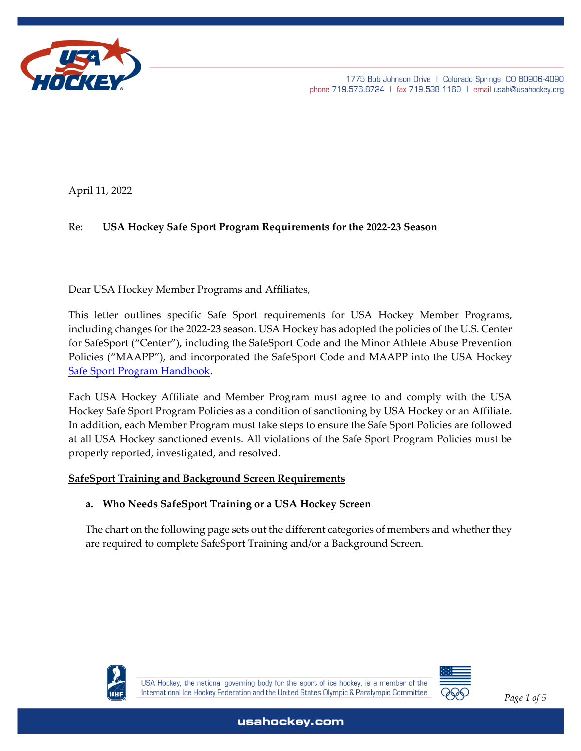

April 11, 2022

## Re: **USA Hockey Safe Sport Program Requirements for the 2022-23 Season**

Dear USA Hockey Member Programs and Affiliates,

This letter outlines specific Safe Sport requirements for USA Hockey Member Programs, including changes for the 2022-23 season. USA Hockey has adopted the policies of the U.S. Center for SafeSport ("Center"), including the SafeSport Code and the Minor Athlete Abuse Prevention Policies ("MAAPP"), and incorporated the SafeSport Code and MAAPP into the USA Hockey [Safe Sport Program Handbook.](https://cdn1.sportngin.com/attachments/document/5cbd-1899191/USA_Hockey_SafeSport_Handbook__Published_on_6-19-19_.pdf)

Each USA Hockey Affiliate and Member Program must agree to and comply with the USA Hockey Safe Sport Program Policies as a condition of sanctioning by USA Hockey or an Affiliate. In addition, each Member Program must take steps to ensure the Safe Sport Policies are followed at all USA Hockey sanctioned events. All violations of the Safe Sport Program Policies must be properly reported, investigated, and resolved.

## **SafeSport Training and Background Screen Requirements**

## **a. Who Needs SafeSport Training or a USA Hockey Screen**

The chart on the following page sets out the different categories of members and whether they are required to complete SafeSport Training and/or a Background Screen.



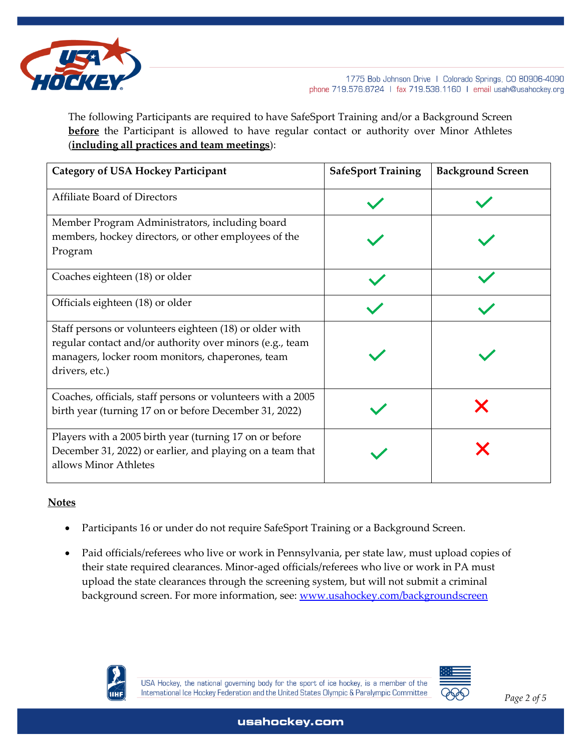

The following Participants are required to have SafeSport Training and/or a Background Screen **before** the Participant is allowed to have regular contact or authority over Minor Athletes (**including all practices and team meetings**):

| <b>Category of USA Hockey Participant</b>                                                                                                                                                 | <b>SafeSport Training</b> | <b>Background Screen</b> |
|-------------------------------------------------------------------------------------------------------------------------------------------------------------------------------------------|---------------------------|--------------------------|
| <b>Affiliate Board of Directors</b>                                                                                                                                                       |                           |                          |
| Member Program Administrators, including board<br>members, hockey directors, or other employees of the<br>Program                                                                         |                           |                          |
| Coaches eighteen (18) or older                                                                                                                                                            |                           |                          |
| Officials eighteen (18) or older                                                                                                                                                          |                           |                          |
| Staff persons or volunteers eighteen (18) or older with<br>regular contact and/or authority over minors (e.g., team<br>managers, locker room monitors, chaperones, team<br>drivers, etc.) |                           |                          |
| Coaches, officials, staff persons or volunteers with a 2005<br>birth year (turning 17 on or before December 31, 2022)                                                                     |                           |                          |
| Players with a 2005 birth year (turning 17 on or before<br>December 31, 2022) or earlier, and playing on a team that<br>allows Minor Athletes                                             |                           |                          |

## **Notes**

- Participants 16 or under do not require SafeSport Training or a Background Screen.
- Paid officials/referees who live or work in Pennsylvania, per state law, must upload copies of their state required clearances. Minor-aged officials/referees who live or work in PA must upload the state clearances through the screening system, but will not submit a criminal background screen. For more information, see: [www.usahockey.com/backgroundscreen](http://www.usahockey.com/backgroundscreen)



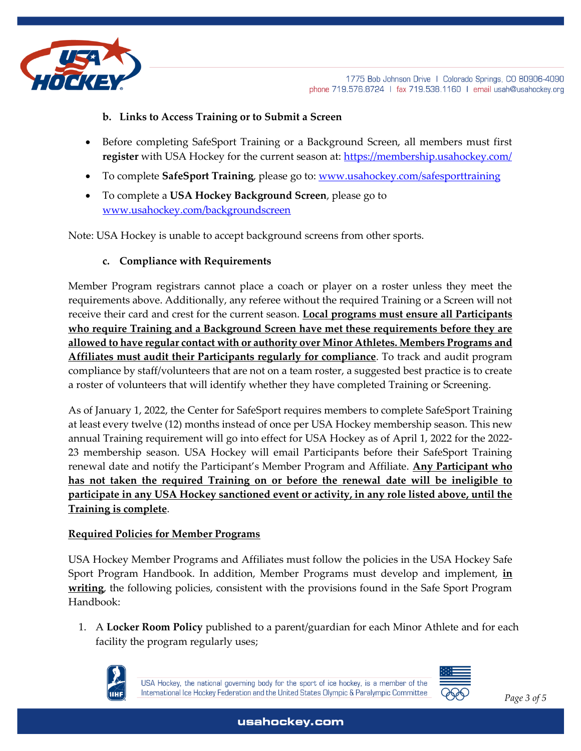

# **b. Links to Access Training or to Submit a Screen**

- Before completing SafeSport Training or a Background Screen, all members must first **register** with USA Hockey for the current season at:<https://membership.usahockey.com/>
- To complete **SafeSport Training**, please go to: [www.usahockey.com/safesporttraining](http://www.usahockey.com/safesporttraining)
- To complete a **USA Hockey Background Screen**, please go to [www.usahockey.com/backgroundscreen](http://www.usahockey.com/backgroundscreen)

Note: USA Hockey is unable to accept background screens from other sports.

## **c. Compliance with Requirements**

Member Program registrars cannot place a coach or player on a roster unless they meet the requirements above. Additionally, any referee without the required Training or a Screen will not receive their card and crest for the current season. **Local programs must ensure all Participants who require Training and a Background Screen have met these requirements before they are allowed to have regular contact with or authority over Minor Athletes. Members Programs and Affiliates must audit their Participants regularly for compliance**. To track and audit program compliance by staff/volunteers that are not on a team roster, a suggested best practice is to create a roster of volunteers that will identify whether they have completed Training or Screening.

As of January 1, 2022, the Center for SafeSport requires members to complete SafeSport Training at least every twelve (12) months instead of once per USA Hockey membership season. This new annual Training requirement will go into effect for USA Hockey as of April 1, 2022 for the 2022- 23 membership season. USA Hockey will email Participants before their SafeSport Training renewal date and notify the Participant's Member Program and Affiliate. **Any Participant who has not taken the required Training on or before the renewal date will be ineligible to participate in any USA Hockey sanctioned event or activity, in any role listed above, until the Training is complete**.

#### **Required Policies for Member Programs**

USA Hockey Member Programs and Affiliates must follow the policies in the USA Hockey Safe Sport Program Handbook. In addition, Member Programs must develop and implement, **in writing**, the following policies, consistent with the provisions found in the Safe Sport Program Handbook:

1. A **Locker Room Policy** published to a parent/guardian for each Minor Athlete and for each facility the program regularly uses;



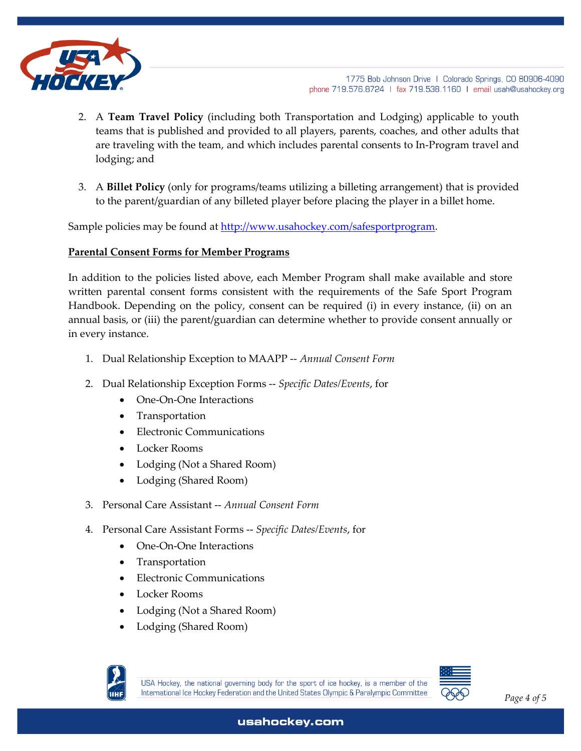

- 2. A **Team Travel Policy** (including both Transportation and Lodging) applicable to youth teams that is published and provided to all players, parents, coaches, and other adults that are traveling with the team, and which includes parental consents to In-Program travel and lodging; and
- 3. A **Billet Policy** (only for programs/teams utilizing a billeting arrangement) that is provided to the parent/guardian of any billeted player before placing the player in a billet home.

Sample policies may be found at [http://www.usahockey.com/safesportp](http://www.usahockey.com/safesport)rogram.

#### **Parental Consent Forms for Member Programs**

In addition to the policies listed above, each Member Program shall make available and store written parental consent forms consistent with the requirements of the Safe Sport Program Handbook. Depending on the policy, consent can be required (i) in every instance, (ii) on an annual basis, or (iii) the parent/guardian can determine whether to provide consent annually or in every instance.

- 1. Dual Relationship Exception to MAAPP -- *Annual Consent Form*
- 2. Dual Relationship Exception Forms -- *Specific Dates/Events*, for
	- One-On-One Interactions
	- Transportation
	- Electronic Communications
	- Locker Rooms
	- Lodging (Not a Shared Room)
	- Lodging (Shared Room)
- 3. Personal Care Assistant -- *Annual Consent Form*
- 4. Personal Care Assistant Forms -- *Specific Dates/Events*, for
	- One-On-One Interactions
	- **Transportation**
	- Electronic Communications
	- Locker Rooms
	- Lodging (Not a Shared Room)
	- Lodging (Shared Room)